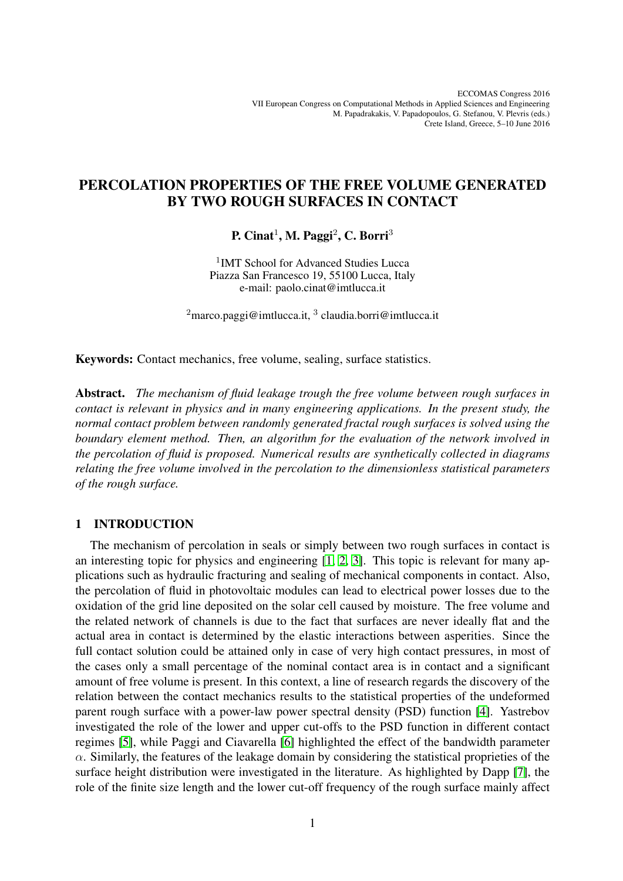# PERCOLATION PROPERTIES OF THE FREE VOLUME GENERATED BY TWO ROUGH SURFACES IN CONTACT

P. Cinat<sup>1</sup>, M. Paggi<sup>2</sup>, C. Borri<sup>3</sup>

<sup>1</sup>IMT School for Advanced Studies Lucca Piazza San Francesco 19, 55100 Lucca, Italy e-mail: paolo.cinat@imtlucca.it

 $2$ marco.paggi@imtlucca.it,  $3$  claudia.borri@imtlucca.it

Keywords: Contact mechanics, free volume, sealing, surface statistics.

Abstract. *The mechanism of fluid leakage trough the free volume between rough surfaces in contact is relevant in physics and in many engineering applications. In the present study, the normal contact problem between randomly generated fractal rough surfaces is solved using the boundary element method. Then, an algorithm for the evaluation of the network involved in the percolation of fluid is proposed. Numerical results are synthetically collected in diagrams relating the free volume involved in the percolation to the dimensionless statistical parameters of the rough surface.*

#### 1 INTRODUCTION

The mechanism of percolation in seals or simply between two rough surfaces in contact is an interesting topic for physics and engineering [\[1,](#page-4-0) [2,](#page-4-1) [3\]](#page-4-2). This topic is relevant for many applications such as hydraulic fracturing and sealing of mechanical components in contact. Also, the percolation of fluid in photovoltaic modules can lead to electrical power losses due to the oxidation of the grid line deposited on the solar cell caused by moisture. The free volume and the related network of channels is due to the fact that surfaces are never ideally flat and the actual area in contact is determined by the elastic interactions between asperities. Since the full contact solution could be attained only in case of very high contact pressures, in most of the cases only a small percentage of the nominal contact area is in contact and a significant amount of free volume is present. In this context, a line of research regards the discovery of the relation between the contact mechanics results to the statistical properties of the undeformed parent rough surface with a power-law power spectral density (PSD) function [\[4\]](#page-4-3). Yastrebov investigated the role of the lower and upper cut-offs to the PSD function in different contact regimes [\[5\]](#page-4-4), while Paggi and Ciavarella [\[6\]](#page-4-5) highlighted the effect of the bandwidth parameter  $\alpha$ . Similarly, the features of the leakage domain by considering the statistical proprieties of the surface height distribution were investigated in the literature. As highlighted by Dapp [\[7\]](#page-4-6), the role of the finite size length and the lower cut-off frequency of the rough surface mainly affect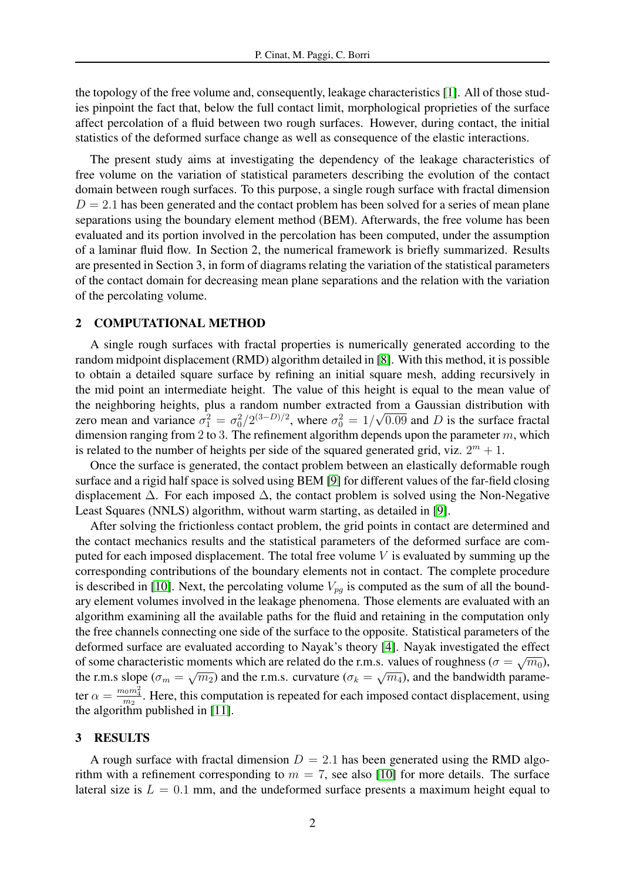the topology of the free volume and, consequently, leakage characteristics [\[1\]](#page-4-0). All of those studies pinpoint the fact that, below the full contact limit, morphological proprieties of the surface affect percolation of a fluid between two rough surfaces. However, during contact, the initial statistics of the deformed surface change as well as consequence of the elastic interactions.

The present study aims at investigating the dependency of the leakage characteristics of free volume on the variation of statistical parameters describing the evolution of the contact domain between rough surfaces. To this purpose, a single rough surface with fractal dimension  $D = 2.1$  has been generated and the contact problem has been solved for a series of mean plane separations using the boundary element method (BEM). Afterwards, the free volume has been evaluated and its portion involved in the percolation has been computed, under the assumption of a laminar fluid flow. In Section 2, the numerical framework is briefly summarized. Results are presented in Section 3, in form of diagrams relating the variation of the statistical parameters of the contact domain for decreasing mean plane separations and the relation with the variation of the percolating volume.

#### 2 COMPUTATIONAL METHOD

A single rough surfaces with fractal properties is numerically generated according to the random midpoint displacement (RMD) algorithm detailed in [\[8\]](#page-4-7). With this method, it is possible to obtain a detailed square surface by refining an initial square mesh, adding recursively in the mid point an intermediate height. The value of this height is equal to the mean value of the neighboring heights, plus a random number extracted from a Gaussian distribution with zero mean and variance  $\sigma_1^2 = \sigma_0^2/2^{(3-D)/2}$ , where  $\sigma_0^2 = 1/\sqrt{0.09}$  and D is the surface fractal dimension ranging from 2 to 3. The refinement algorithm depends upon the parameter  $m$ , which is related to the number of heights per side of the squared generated grid, viz.  $2^m + 1$ .

Once the surface is generated, the contact problem between an elastically deformable rough surface and a rigid half space is solved using BEM [\[9\]](#page-4-8) for different values of the far-field closing displacement  $\Delta$ . For each imposed  $\Delta$ , the contact problem is solved using the Non-Negative Least Squares (NNLS) algorithm, without warm starting, as detailed in [\[9\]](#page-4-8).

After solving the frictionless contact problem, the grid points in contact are determined and the contact mechanics results and the statistical parameters of the deformed surface are computed for each imposed displacement. The total free volume  $V$  is evaluated by summing up the corresponding contributions of the boundary elements not in contact. The complete procedure is described in [\[10\]](#page-5-0). Next, the percolating volume  $V_{pq}$  is computed as the sum of all the boundary element volumes involved in the leakage phenomena. Those elements are evaluated with an algorithm examining all the available paths for the fluid and retaining in the computation only the free channels connecting one side of the surface to the opposite. Statistical parameters of the deformed surface are evaluated according to Nayak's theory [\[4\]](#page-4-3). Nayak investigated the effect of some characteristic moments which are related do the r.m.s. values of roughness ( $\sigma = \sqrt{m_0}$ ), the r.m.s slope ( $\sigma_m = \sqrt{m_2}$ ) and the r.m.s. curvature ( $\sigma_k = \sqrt{m_4}$ ), and the bandwidth parameter  $\alpha = \frac{m_0 m_4^2}{m_2}$ . Here, this computation is repeated for each imposed contact displacement, using the algorithm published in [\[11\]](#page-5-1).

#### 3 RESULTS

A rough surface with fractal dimension  $D = 2.1$  has been generated using the RMD algorithm with a refinement corresponding to  $m = 7$ , see also [\[10\]](#page-5-0) for more details. The surface lateral size is  $L = 0.1$  mm, and the undeformed surface presents a maximum height equal to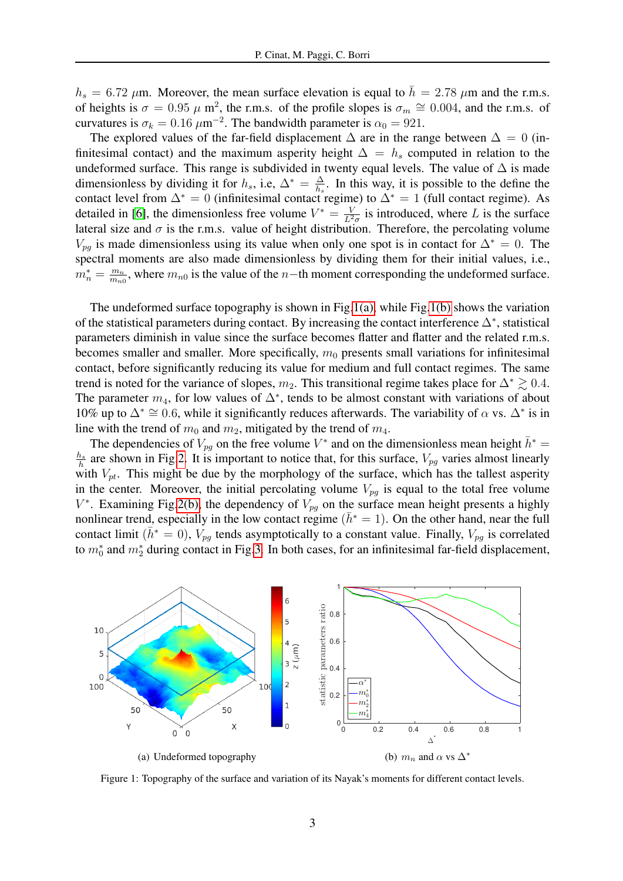$h_s = 6.72 \mu$ m. Moreover, the mean surface elevation is equal to  $\bar{h} = 2.78 \mu$ m and the r.m.s. of heights is  $\sigma = 0.95 \mu$  m<sup>2</sup>, the r.m.s. of the profile slopes is  $\sigma_m \approx 0.004$ , and the r.m.s. of curvatures is  $\sigma_k = 0.16 \ \mu \text{m}^{-2}$ . The bandwidth parameter is  $\alpha_0 = 921$ .

The explored values of the far-field displacement  $\Delta$  are in the range between  $\Delta = 0$  (infinitesimal contact) and the maximum asperity height  $\Delta = h_s$  computed in relation to the undeformed surface. This range is subdivided in twenty equal levels. The value of  $\Delta$  is made dimensionless by dividing it for  $h_s$ , i.e,  $\Delta^* = \frac{\Delta}{h_s}$  $\frac{\Delta}{h_s}$ . In this way, it is possible to the define the contact level from  $\Delta^* = 0$  (infinitesimal contact regime) to  $\Delta^* = 1$  (full contact regime). As detailed in [\[6\]](#page-4-5), the dimensionless free volume  $V^* = \frac{V}{l^2}$  $\frac{V}{L^2\sigma}$  is introduced, where L is the surface lateral size and  $\sigma$  is the r.m.s. value of height distribution. Therefore, the percolating volume  $V_{pq}$  is made dimensionless using its value when only one spot is in contact for  $\Delta^* = 0$ . The spectral moments are also made dimensionless by dividing them for their initial values, i.e.,  $m_n^* = \frac{m_n}{m_n}$  $\frac{m_n}{m_{n0}}$ , where  $m_{n0}$  is the value of the n−th moment corresponding the undeformed surface.

The undeformed surface topography is shown in Fig[.1\(a\),](#page-2-0) while Fig[.1\(b\)](#page-2-1) shows the variation of the statistical parameters during contact. By increasing the contact interference  $\Delta^*$ , statistical parameters diminish in value since the surface becomes flatter and flatter and the related r.m.s. becomes smaller and smaller. More specifically,  $m_0$  presents small variations for infinitesimal contact, before significantly reducing its value for medium and full contact regimes. The same trend is noted for the variance of slopes,  $m_2$ . This transitional regime takes place for  $\Delta^* \geq 0.4$ . The parameter  $m_4$ , for low values of  $\Delta^*$ , tends to be almost constant with variations of about 10% up to  $\Delta^* \cong 0.6$ , while it significantly reduces afterwards. The variability of  $\alpha$  vs.  $\Delta^*$  is in line with the trend of  $m_0$  and  $m_2$ , mitigated by the trend of  $m_4$ .

The dependencies of  $V_{pg}$  on the free volume  $V^*$  and on the dimensionless mean height  $\bar{h}^*$  =  $\frac{h_s}{\hbar}$  are shown in Fig[.2.](#page-3-0) It is important to notice that, for this surface,  $V_{pg}$  varies almost linearly with  $V_{pt}$ . This might be due by the morphology of the surface, which has the tallest asperity in the center. Moreover, the initial percolating volume  $V_{pg}$  is equal to the total free volume  $V^*$ . Examining Fig[.2\(b\),](#page-3-1) the dependency of  $V_{pg}$  on the surface mean height presents a highly nonlinear trend, especially in the low contact regime ( $\bar{h}^* = 1$ ). On the other hand, near the full contact limit ( $\bar{h}^* = 0$ ),  $V_{pq}$  tends asymptotically to a constant value. Finally,  $V_{pq}$  is correlated to  $m_0^*$  and  $m_2^*$  during contact in Fig[.3.](#page-3-2) In both cases, for an infinitesimal far-field displacement,

<span id="page-2-0"></span>

<span id="page-2-1"></span>Figure 1: Topography of the surface and variation of its Nayak's moments for different contact levels.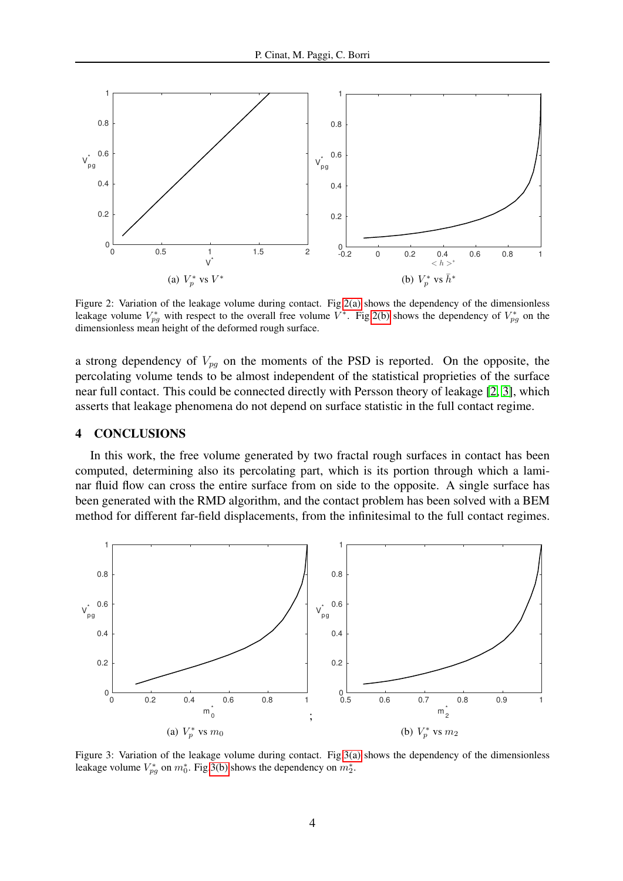<span id="page-3-3"></span>

<span id="page-3-1"></span><span id="page-3-0"></span>Figure 2: Variation of the leakage volume during contact. Fig[.2\(a\)](#page-3-3) shows the dependency of the dimensionless leakage volume  $V_{pg}^*$  with respect to the overall free volume  $V^*$ . Fig[.2\(b\)](#page-3-1) shows the dependency of  $V_{pg}^*$  on the dimensionless mean height of the deformed rough surface.

a strong dependency of  $V_{pq}$  on the moments of the PSD is reported. On the opposite, the percolating volume tends to be almost independent of the statistical proprieties of the surface near full contact. This could be connected directly with Persson theory of leakage [\[2,](#page-4-1) [3\]](#page-4-2), which asserts that leakage phenomena do not depend on surface statistic in the full contact regime.

## 4 CONCLUSIONS

In this work, the free volume generated by two fractal rough surfaces in contact has been computed, determining also its percolating part, which is its portion through which a laminar fluid flow can cross the entire surface from on side to the opposite. A single surface has been generated with the RMD algorithm, and the contact problem has been solved with a BEM method for different far-field displacements, from the infinitesimal to the full contact regimes.

<span id="page-3-4"></span>

<span id="page-3-5"></span><span id="page-3-2"></span>Figure 3: Variation of the leakage volume during contact. Fig[.3\(a\)](#page-3-4) shows the dependency of the dimensionless leakage volume  $V_{pg}^*$  on  $m_0^*$ . Fig[.3\(b\)](#page-3-5) shows the dependency on  $m_2^*$ .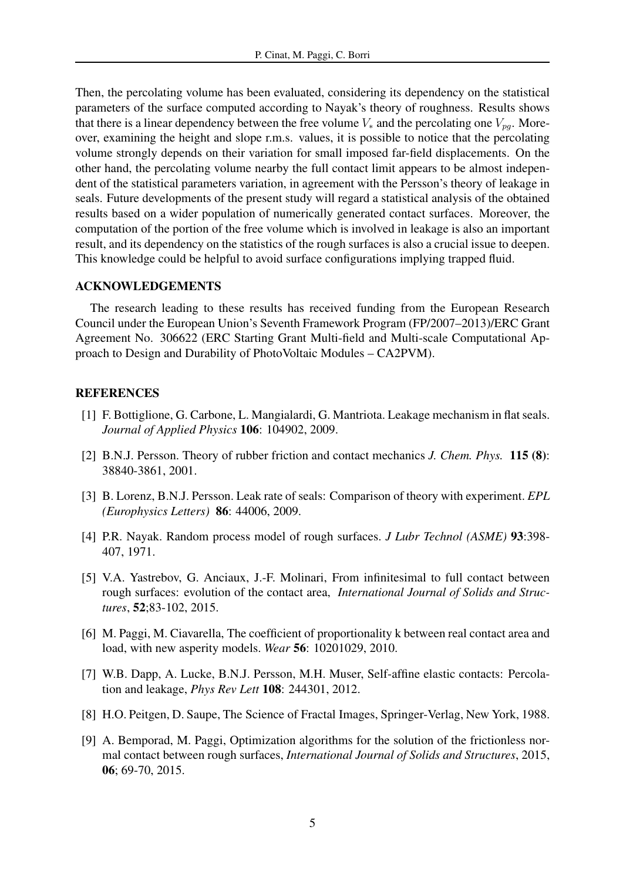Then, the percolating volume has been evaluated, considering its dependency on the statistical parameters of the surface computed according to Nayak's theory of roughness. Results shows that there is a linear dependency between the free volume  $V_*$  and the percolating one  $V_{na}$ . Moreover, examining the height and slope r.m.s. values, it is possible to notice that the percolating volume strongly depends on their variation for small imposed far-field displacements. On the other hand, the percolating volume nearby the full contact limit appears to be almost independent of the statistical parameters variation, in agreement with the Persson's theory of leakage in seals. Future developments of the present study will regard a statistical analysis of the obtained results based on a wider population of numerically generated contact surfaces. Moreover, the computation of the portion of the free volume which is involved in leakage is also an important result, and its dependency on the statistics of the rough surfaces is also a crucial issue to deepen. This knowledge could be helpful to avoid surface configurations implying trapped fluid.

## ACKNOWLEDGEMENTS

The research leading to these results has received funding from the European Research Council under the European Union's Seventh Framework Program (FP/2007–2013)/ERC Grant Agreement No. 306622 (ERC Starting Grant Multi-field and Multi-scale Computational Approach to Design and Durability of PhotoVoltaic Modules – CA2PVM).

### <span id="page-4-0"></span>**REFERENCES**

- [1] F. Bottiglione, G. Carbone, L. Mangialardi, G. Mantriota. Leakage mechanism in flat seals. *Journal of Applied Physics* 106: 104902, 2009.
- <span id="page-4-1"></span>[2] B.N.J. Persson. Theory of rubber friction and contact mechanics *J. Chem. Phys.* 115 (8): 38840-3861, 2001.
- <span id="page-4-2"></span>[3] B. Lorenz, B.N.J. Persson. Leak rate of seals: Comparison of theory with experiment. *EPL (Europhysics Letters)* 86: 44006, 2009.
- <span id="page-4-3"></span>[4] P.R. Nayak. Random process model of rough surfaces. *J Lubr Technol (ASME)* 93:398- 407, 1971.
- <span id="page-4-4"></span>[5] V.A. Yastrebov, G. Anciaux, J.-F. Molinari, From infinitesimal to full contact between rough surfaces: evolution of the contact area, *International Journal of Solids and Structures*, 52;83-102, 2015.
- <span id="page-4-5"></span>[6] M. Paggi, M. Ciavarella, The coefficient of proportionality k between real contact area and load, with new asperity models. *Wear* 56: 10201029, 2010.
- <span id="page-4-6"></span>[7] W.B. Dapp, A. Lucke, B.N.J. Persson, M.H. Muser, Self-affine elastic contacts: Percolation and leakage, *Phys Rev Lett* 108: 244301, 2012.
- <span id="page-4-7"></span>[8] H.O. Peitgen, D. Saupe, The Science of Fractal Images, Springer-Verlag, New York, 1988.
- <span id="page-4-8"></span>[9] A. Bemporad, M. Paggi, Optimization algorithms for the solution of the frictionless normal contact between rough surfaces, *International Journal of Solids and Structures*, 2015, 06; 69-70, 2015.